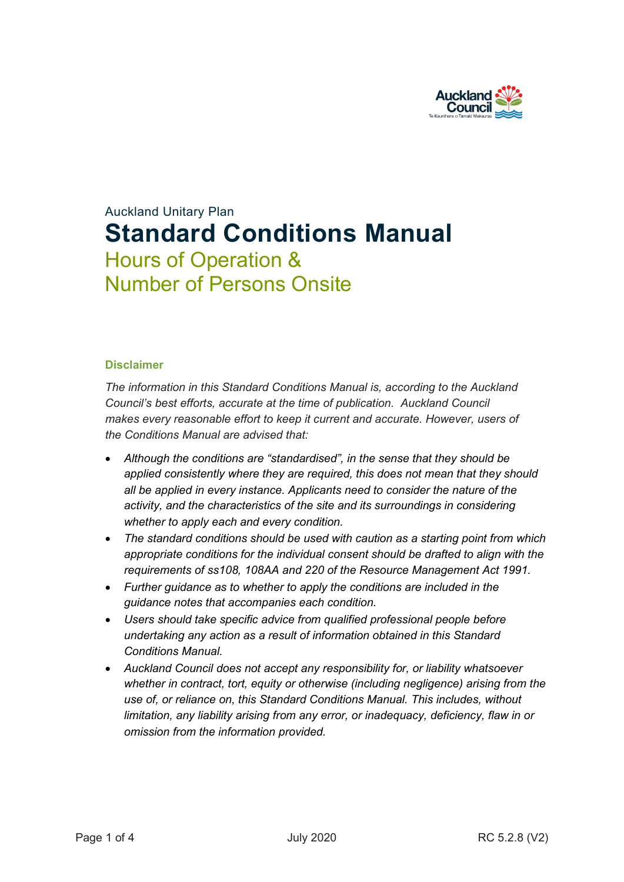

# Auckland Unitary Plan **Standard Conditions Manual** Hours of Operation & Number of Persons Onsite

#### **Disclaimer**

*The information in this Standard Conditions Manual is, according to the Auckland Council's best efforts, accurate at the time of publication. Auckland Council makes every reasonable effort to keep it current and accurate. However, users of the Conditions Manual are advised that:* 

- *Although the conditions are "standardised", in the sense that they should be applied consistently where they are required, this does not mean that they should all be applied in every instance. Applicants need to consider the nature of the activity, and the characteristics of the site and its surroundings in considering whether to apply each and every condition.*
- *The standard conditions should be used with caution as a starting point from which appropriate conditions for the individual consent should be drafted to align with the requirements of ss108, 108AA and 220 of the Resource Management Act 1991.*
- *Further guidance as to whether to apply the conditions are included in the guidance notes that accompanies each condition.*
- *Users should take specific advice from qualified professional people before undertaking any action as a result of information obtained in this Standard Conditions Manual.*
- *Auckland Council does not accept any responsibility for, or liability whatsoever whether in contract, tort, equity or otherwise (including negligence) arising from the use of, or reliance on, this Standard Conditions Manual. This includes, without limitation, any liability arising from any error, or inadequacy, deficiency, flaw in or omission from the information provided.*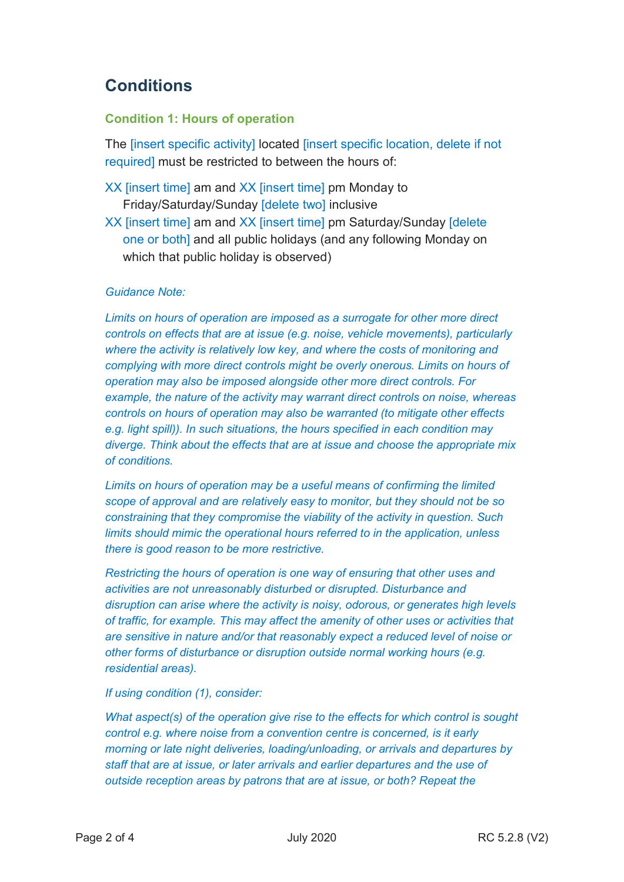# **Conditions**

## **Condition 1: Hours of operation**

The linsert specific activity] located linsert specific location, delete if not required] must be restricted to between the hours of:

- XX [insert time] am and XX [insert time] pm Monday to Friday/Saturday/Sunday [delete two] inclusive
- XX [insert time] am and XX [insert time] pm Saturday/Sunday [delete one or both] and all public holidays (and any following Monday on which that public holiday is observed)

### *Guidance Note:*

*Limits on hours of operation are imposed as a surrogate for other more direct controls on effects that are at issue (e.g. noise, vehicle movements), particularly where the activity is relatively low key, and where the costs of monitoring and complying with more direct controls might be overly onerous. Limits on hours of operation may also be imposed alongside other more direct controls. For example, the nature of the activity may warrant direct controls on noise, whereas controls on hours of operation may also be warranted (to mitigate other effects e.g. light spill)). In such situations, the hours specified in each condition may diverge. Think about the effects that are at issue and choose the appropriate mix of conditions.*

*Limits on hours of operation may be a useful means of confirming the limited scope of approval and are relatively easy to monitor, but they should not be so constraining that they compromise the viability of the activity in question. Such limits should mimic the operational hours referred to in the application, unless there is good reason to be more restrictive.*

*Restricting the hours of operation is one way of ensuring that other uses and activities are not unreasonably disturbed or disrupted. Disturbance and disruption can arise where the activity is noisy, odorous, or generates high levels of traffic, for example. This may affect the amenity of other uses or activities that are sensitive in nature and/or that reasonably expect a reduced level of noise or other forms of disturbance or disruption outside normal working hours (e.g. residential areas).* 

*If using condition (1), consider:*

*What aspect(s) of the operation give rise to the effects for which control is sought control e.g. where noise from a convention centre is concerned, is it early morning or late night deliveries, loading/unloading, or arrivals and departures by staff that are at issue, or later arrivals and earlier departures and the use of outside reception areas by patrons that are at issue, or both? Repeat the*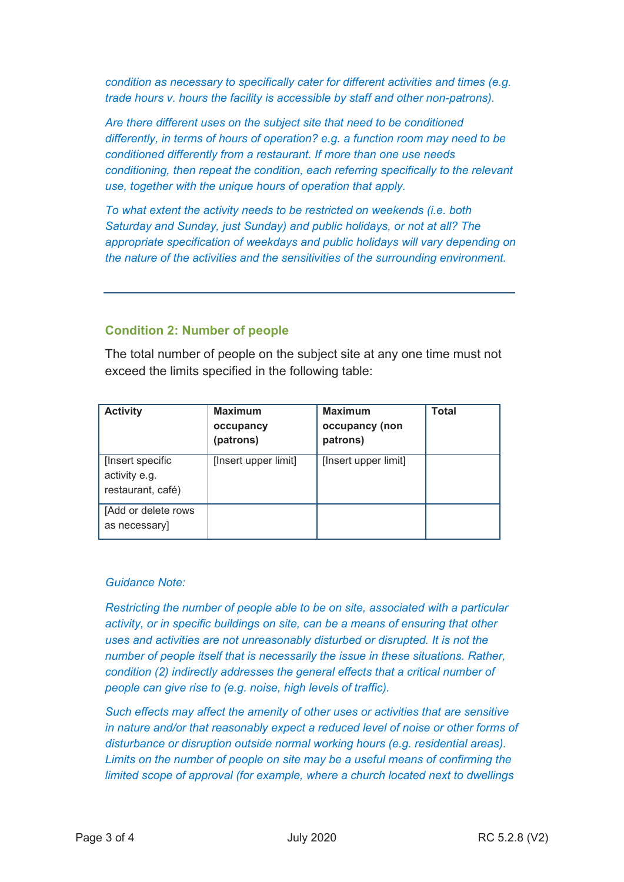*condition as necessary to specifically cater for different activities and times (e.g. trade hours v. hours the facility is accessible by staff and other non-patrons).*

*Are there different uses on the subject site that need to be conditioned differently, in terms of hours of operation? e.g. a function room may need to be conditioned differently from a restaurant. If more than one use needs conditioning, then repeat the condition, each referring specifically to the relevant use, together with the unique hours of operation that apply.*

*To what extent the activity needs to be restricted on weekends (i.e. both Saturday and Sunday, just Sunday) and public holidays, or not at all? The appropriate specification of weekdays and public holidays will vary depending on the nature of the activities and the sensitivities of the surrounding environment.*

### **Condition 2: Number of people**

The total number of people on the subject site at any one time must not exceed the limits specified in the following table:

| <b>Activity</b>                                        | <b>Maximum</b><br>occupancy<br>(patrons) | <b>Maximum</b><br>occupancy (non<br>patrons) | <b>Total</b> |
|--------------------------------------------------------|------------------------------------------|----------------------------------------------|--------------|
| [Insert specific<br>activity e.g.<br>restaurant, café) | [Insert upper limit]                     | [Insert upper limit]                         |              |
| [Add or delete rows<br>as necessary]                   |                                          |                                              |              |

#### *Guidance Note:*

*Restricting the number of people able to be on site, associated with a particular activity, or in specific buildings on site, can be a means of ensuring that other uses and activities are not unreasonably disturbed or disrupted. It is not the number of people itself that is necessarily the issue in these situations. Rather, condition (2) indirectly addresses the general effects that a critical number of people can give rise to (e.g. noise, high levels of traffic).* 

*Such effects may affect the amenity of other uses or activities that are sensitive in nature and/or that reasonably expect a reduced level of noise or other forms of disturbance or disruption outside normal working hours (e.g. residential areas). Limits on the number of people on site may be a useful means of confirming the limited scope of approval (for example, where a church located next to dwellings*